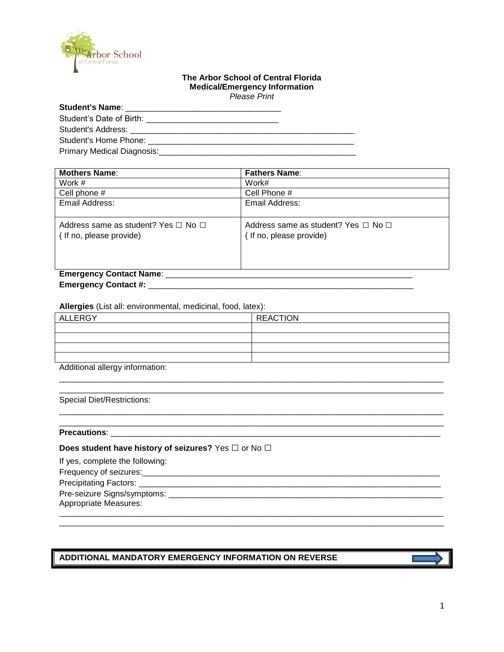

#### **The Arbor School of Central Florida Medical/Emergency Information** *Please Print*

| Student's Name: The Contract of the Contract of the Contract of the Contract of the Contract of the Contract of the Contract of the Contract of the Contract of the Contract of the Contract of the Contract of the Contract o |  |
|--------------------------------------------------------------------------------------------------------------------------------------------------------------------------------------------------------------------------------|--|
|                                                                                                                                                                                                                                |  |
| Student's Address: The Contract of Student's Address:                                                                                                                                                                          |  |
| Student's Home Phone: Student's Home Phone:                                                                                                                                                                                    |  |
| Primary Medical Diagnosis:                                                                                                                                                                                                     |  |

| <b>Mothers Name:</b>                          | <b>Fathers Name:</b>                          |
|-----------------------------------------------|-----------------------------------------------|
| Work #                                        | Work#                                         |
| Cell phone #                                  | Cell Phone #                                  |
| Email Address:                                | Email Address:                                |
|                                               |                                               |
| Address same as student? Yes $\Box$ No $\Box$ | Address same as student? Yes $\Box$ No $\Box$ |
| (If no, please provide)                       | (If no, please provide)                       |
|                                               |                                               |
|                                               |                                               |
|                                               |                                               |
| <b>Emergency Contact Name:</b>                |                                               |
| <b>Emergency Contact #:</b>                   |                                               |

**Allergies** (List all: environmental, medicinal, food, latex):

| ALLERGY | <b>REACTION</b> |
|---------|-----------------|
|         |                 |
|         |                 |
|         |                 |
|         |                 |

\_\_\_\_\_\_\_\_\_\_\_\_\_\_\_\_\_\_\_\_\_\_\_\_\_\_\_\_\_\_\_\_\_\_\_\_\_\_\_\_\_\_\_\_\_\_\_\_\_\_\_\_\_\_\_\_\_\_\_\_\_\_\_\_\_\_\_\_\_\_\_\_\_\_\_\_\_\_\_\_\_\_\_\_ \_\_\_\_\_\_\_\_\_\_\_\_\_\_\_\_\_\_\_\_\_\_\_\_\_\_\_\_\_\_\_\_\_\_\_\_\_\_\_\_\_\_\_\_\_\_\_\_\_\_\_\_\_\_\_\_\_\_\_\_\_\_\_\_\_\_\_\_\_\_\_\_\_\_\_\_\_\_\_\_\_\_\_\_

\_\_\_\_\_\_\_\_\_\_\_\_\_\_\_\_\_\_\_\_\_\_\_\_\_\_\_\_\_\_\_\_\_\_\_\_\_\_\_\_\_\_\_\_\_\_\_\_\_\_\_\_\_\_\_\_\_\_\_\_\_\_\_\_\_\_\_\_\_\_\_\_\_\_\_\_\_\_\_\_\_\_\_\_ \_\_\_\_\_\_\_\_\_\_\_\_\_\_\_\_\_\_\_\_\_\_\_\_\_\_\_\_\_\_\_\_\_\_\_\_\_\_\_\_\_\_\_\_\_\_\_\_\_\_\_\_\_\_\_\_\_\_\_\_\_\_\_\_\_\_\_\_\_\_\_\_\_\_\_\_\_\_\_\_\_\_\_\_

\_\_\_\_\_\_\_\_\_\_\_\_\_\_\_\_\_\_\_\_\_\_\_\_\_\_\_\_\_\_\_\_\_\_\_\_\_\_\_\_\_\_\_\_\_\_\_\_\_\_\_\_\_\_\_\_\_\_\_\_\_\_\_\_\_\_\_\_\_\_\_\_\_\_\_\_\_\_\_\_\_\_\_\_

 $\frac{1}{2}$  ,  $\frac{1}{2}$  ,  $\frac{1}{2}$  ,  $\frac{1}{2}$  ,  $\frac{1}{2}$  ,  $\frac{1}{2}$  ,  $\frac{1}{2}$  ,  $\frac{1}{2}$  ,  $\frac{1}{2}$  ,  $\frac{1}{2}$  ,  $\frac{1}{2}$  ,  $\frac{1}{2}$  ,  $\frac{1}{2}$  ,  $\frac{1}{2}$  ,  $\frac{1}{2}$  ,  $\frac{1}{2}$  ,  $\frac{1}{2}$  ,  $\frac{1}{2}$  ,  $\frac{1$ Precipitating Factors: \_\_\_\_\_\_\_\_\_\_\_\_\_\_\_\_\_\_\_\_\_\_\_\_\_\_\_\_\_\_\_\_\_\_\_\_\_\_\_\_\_\_\_\_\_\_\_\_\_\_\_\_\_\_\_\_\_\_\_\_\_\_\_\_\_\_

Additional allergy information:

Special Diet/Restrictions:

**Precautions**: \_\_\_\_\_\_\_\_\_\_\_\_\_\_\_\_\_\_\_\_\_\_\_\_\_\_\_\_\_\_\_\_\_\_\_\_\_\_\_\_\_\_\_\_\_\_\_\_\_\_\_\_\_\_\_\_\_\_\_\_\_\_\_\_\_\_\_\_\_\_\_\_

**Does student have history of seizures?** Yes □ or No □

| If yes, complete the following: |
|---------------------------------|
| Frequency of seizures:          |
| Precipitating Factors:          |
|                                 |

Pre-seizure Signs/symptoms: \_\_\_\_\_\_\_\_\_\_\_\_\_\_\_\_\_\_\_\_\_\_\_\_\_\_\_\_\_\_\_\_\_\_\_\_\_\_\_\_\_\_\_\_\_\_\_\_\_\_\_\_\_\_\_\_\_\_\_\_

Appropriate Measures: \_\_\_\_\_\_\_\_\_\_\_\_\_\_\_\_\_\_\_\_\_\_\_\_\_\_\_\_\_\_\_\_\_\_\_\_\_\_\_\_\_\_\_\_\_\_\_\_\_\_\_\_\_\_\_\_\_\_\_\_\_\_\_\_\_\_\_\_\_\_\_\_\_\_\_\_\_\_\_\_\_\_\_\_

## **ADDITIONAL MANDATORY EMERGENCY INFORMATION ON REVERSE**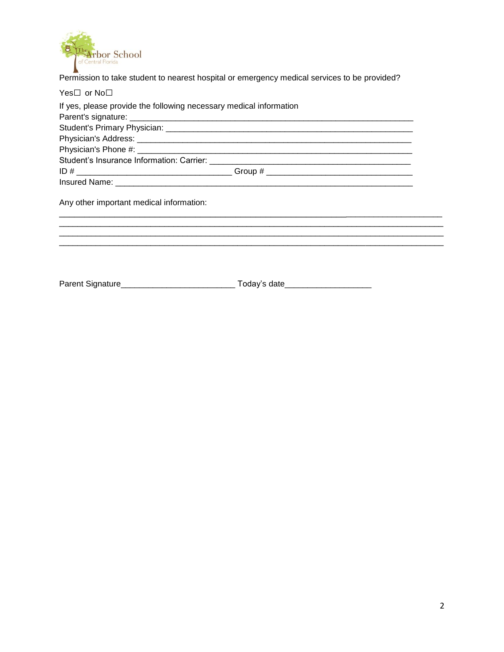

Permission to take student to nearest hospital or emergency medical services to be provided?

| Yes⊟ or No⊟                                                        |  |
|--------------------------------------------------------------------|--|
| If yes, please provide the following necessary medical information |  |
|                                                                    |  |
|                                                                    |  |
|                                                                    |  |
|                                                                    |  |
|                                                                    |  |
|                                                                    |  |
|                                                                    |  |
|                                                                    |  |
| Any other important medical information:                           |  |
|                                                                    |  |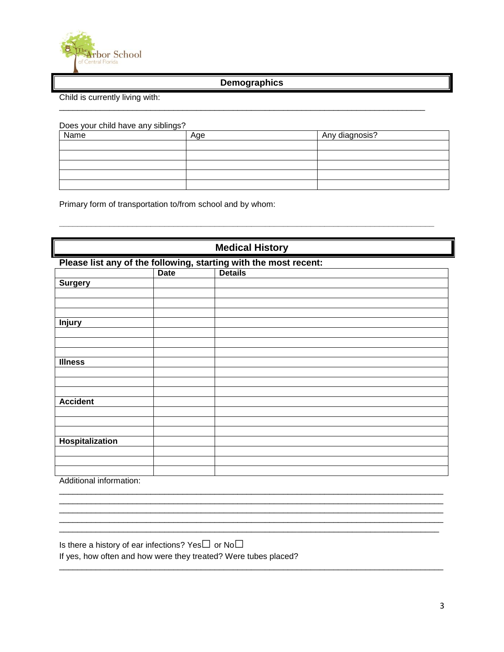

# **Demographics**

\_\_\_\_\_\_\_\_\_\_\_\_\_\_\_\_\_\_\_\_\_\_\_\_\_\_\_\_\_\_\_\_\_\_\_\_\_\_\_\_\_\_\_\_\_\_\_\_\_\_\_\_\_\_\_\_\_\_\_\_\_\_\_\_\_\_\_\_\_\_\_\_\_\_\_\_\_\_\_\_

Child is currently living with:

Does your child have any siblings?

| $\cdot$ |     |                |
|---------|-----|----------------|
| Name    | Age | Any diagnosis? |
|         |     |                |
|         |     |                |
|         |     |                |
|         |     |                |
|         |     |                |

**\_\_\_\_\_\_\_\_\_\_\_\_\_\_\_\_\_\_\_\_\_\_\_\_\_\_\_\_\_\_\_\_\_\_\_\_\_\_\_\_\_\_\_\_\_\_\_\_\_\_\_\_\_\_\_\_\_\_\_\_\_\_\_\_\_\_\_\_\_\_\_\_\_\_\_\_\_\_\_\_\_\_**

Primary form of transportation to/from school and by whom:

| <b>Medical History</b>                                                               |  |  |  |
|--------------------------------------------------------------------------------------|--|--|--|
| Please list any of the following, starting with the most recent:<br>  Date   Details |  |  |  |
|                                                                                      |  |  |  |
| <b>Surgery</b>                                                                       |  |  |  |
|                                                                                      |  |  |  |
|                                                                                      |  |  |  |
|                                                                                      |  |  |  |
| <b>Injury</b>                                                                        |  |  |  |
|                                                                                      |  |  |  |
|                                                                                      |  |  |  |
|                                                                                      |  |  |  |
| <b>Illness</b>                                                                       |  |  |  |
|                                                                                      |  |  |  |
|                                                                                      |  |  |  |
|                                                                                      |  |  |  |
| <b>Accident</b>                                                                      |  |  |  |
|                                                                                      |  |  |  |
|                                                                                      |  |  |  |
|                                                                                      |  |  |  |
| <b>Hospitalization</b>                                                               |  |  |  |
|                                                                                      |  |  |  |
|                                                                                      |  |  |  |
| A state that a contribution of a state of the                                        |  |  |  |

\_\_\_\_\_\_\_\_\_\_\_\_\_\_\_\_\_\_\_\_\_\_\_\_\_\_\_\_\_\_\_\_\_\_\_\_\_\_\_\_\_\_\_\_\_\_\_\_\_\_\_\_\_\_\_\_\_\_\_\_\_\_\_\_\_\_\_\_\_\_\_\_\_\_\_\_\_\_\_\_\_\_\_\_ \_\_\_\_\_\_\_\_\_\_\_\_\_\_\_\_\_\_\_\_\_\_\_\_\_\_\_\_\_\_\_\_\_\_\_\_\_\_\_\_\_\_\_\_\_\_\_\_\_\_\_\_\_\_\_\_\_\_\_\_\_\_\_\_\_\_\_\_\_\_\_\_\_\_\_\_\_\_\_\_\_\_\_\_ \_\_\_\_\_\_\_\_\_\_\_\_\_\_\_\_\_\_\_\_\_\_\_\_\_\_\_\_\_\_\_\_\_\_\_\_\_\_\_\_\_\_\_\_\_\_\_\_\_\_\_\_\_\_\_\_\_\_\_\_\_\_\_\_\_\_\_\_\_\_\_\_\_\_\_\_\_\_\_\_\_\_\_\_ \_\_\_\_\_\_\_\_\_\_\_\_\_\_\_\_\_\_\_\_\_\_\_\_\_\_\_\_\_\_\_\_\_\_\_\_\_\_\_\_\_\_\_\_\_\_\_\_\_\_\_\_\_\_\_\_\_\_\_\_\_\_\_\_\_\_\_\_\_\_\_\_\_\_\_\_\_\_\_\_\_\_\_\_ \_\_\_\_\_\_\_\_\_\_\_\_\_\_\_\_\_\_\_\_\_\_\_\_\_\_\_\_\_\_\_\_\_\_\_\_\_\_\_\_\_\_\_\_\_\_\_\_\_\_\_\_\_\_\_\_\_\_\_\_\_\_\_\_\_\_\_\_\_\_\_\_\_\_\_\_\_\_\_\_\_\_\_

\_\_\_\_\_\_\_\_\_\_\_\_\_\_\_\_\_\_\_\_\_\_\_\_\_\_\_\_\_\_\_\_\_\_\_\_\_\_\_\_\_\_\_\_\_\_\_\_\_\_\_\_\_\_\_\_\_\_\_\_\_\_\_\_\_\_\_\_\_\_\_\_\_\_\_\_\_\_\_\_\_\_\_\_

Additional information:

Is there a history of ear infections? Yes $\square$  or No $\square$ 

If yes, how often and how were they treated? Were tubes placed?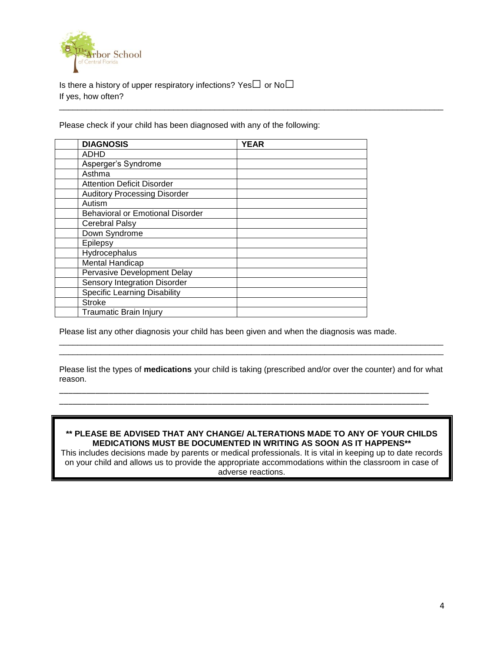

Is there a history of upper respiratory infections? Yes $\square$  or No $\square$ If yes, how often?

Please check if your child has been diagnosed with any of the following:

| <b>DIAGNOSIS</b>                        | <b>YEAR</b> |
|-----------------------------------------|-------------|
| <b>ADHD</b>                             |             |
| Asperger's Syndrome                     |             |
| Asthma                                  |             |
| <b>Attention Deficit Disorder</b>       |             |
| <b>Auditory Processing Disorder</b>     |             |
| Autism                                  |             |
| <b>Behavioral or Emotional Disorder</b> |             |
| Cerebral Palsy                          |             |
| Down Syndrome                           |             |
| Epilepsy                                |             |
| Hydrocephalus                           |             |
| <b>Mental Handicap</b>                  |             |
| Pervasive Development Delay             |             |
| <b>Sensory Integration Disorder</b>     |             |
| <b>Specific Learning Disability</b>     |             |
| <b>Stroke</b>                           |             |
| <b>Traumatic Brain Injury</b>           |             |

Please list any other diagnosis your child has been given and when the diagnosis was made.

Please list the types of **medications** your child is taking (prescribed and/or over the counter) and for what reason.

\_\_\_\_\_\_\_\_\_\_\_\_\_\_\_\_\_\_\_\_\_\_\_\_\_\_\_\_\_\_\_\_\_\_\_\_\_\_\_\_\_\_\_\_\_\_\_\_\_\_\_\_\_\_\_\_\_\_\_\_\_\_\_\_\_\_\_\_\_\_\_\_\_\_\_\_\_\_\_\_\_\_ \_\_\_\_\_\_\_\_\_\_\_\_\_\_\_\_\_\_\_\_\_\_\_\_\_\_\_\_\_\_\_\_\_\_\_\_\_\_\_\_\_\_\_\_\_\_\_\_\_\_\_\_\_\_\_\_\_\_\_\_\_\_\_\_\_\_\_\_\_\_\_\_\_\_\_\_\_\_\_\_\_\_

\_\_\_\_\_\_\_\_\_\_\_\_\_\_\_\_\_\_\_\_\_\_\_\_\_\_\_\_\_\_\_\_\_\_\_\_\_\_\_\_\_\_\_\_\_\_\_\_\_\_\_\_\_\_\_\_\_\_\_\_\_\_\_\_\_\_\_\_\_\_\_\_\_\_\_\_\_\_\_\_\_\_\_\_ \_\_\_\_\_\_\_\_\_\_\_\_\_\_\_\_\_\_\_\_\_\_\_\_\_\_\_\_\_\_\_\_\_\_\_\_\_\_\_\_\_\_\_\_\_\_\_\_\_\_\_\_\_\_\_\_\_\_\_\_\_\_\_\_\_\_\_\_\_\_\_\_\_\_\_\_\_\_\_\_\_\_\_\_

\_\_\_\_\_\_\_\_\_\_\_\_\_\_\_\_\_\_\_\_\_\_\_\_\_\_\_\_\_\_\_\_\_\_\_\_\_\_\_\_\_\_\_\_\_\_\_\_\_\_\_\_\_\_\_\_\_\_\_\_\_\_\_\_\_\_\_\_\_\_\_\_\_\_\_\_\_\_\_\_\_\_\_\_

### **\*\* PLEASE BE ADVISED THAT ANY CHANGE/ ALTERATIONS MADE TO ANY OF YOUR CHILDS MEDICATIONS MUST BE DOCUMENTED IN WRITING AS SOON AS IT HAPPENS\*\***

This includes decisions made by parents or medical professionals. It is vital in keeping up to date records on your child and allows us to provide the appropriate accommodations within the classroom in case of adverse reactions.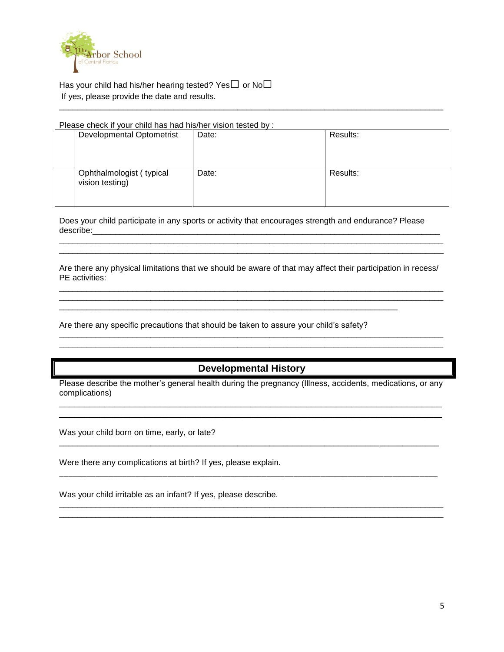

Has your child had his/her hearing tested? Yes $\square$  or No $\square$ If yes, please provide the date and results.

#### Please check if your child has had his/her vision tested by :

| Developmental Optometrist                   | Date: | Results: |
|---------------------------------------------|-------|----------|
| Ophthalmologist (typical<br>vision testing) | Date: | Results: |

\_\_\_\_\_\_\_\_\_\_\_\_\_\_\_\_\_\_\_\_\_\_\_\_\_\_\_\_\_\_\_\_\_\_\_\_\_\_\_\_\_\_\_\_\_\_\_\_\_\_\_\_\_\_\_\_\_\_\_\_\_\_\_\_\_\_\_\_\_\_\_\_\_\_\_\_\_\_\_\_\_\_\_\_

Does your child participate in any sports or activity that encourages strength and endurance? Please describe:\_\_\_\_\_\_\_\_\_\_\_\_\_\_\_\_\_\_\_\_\_\_\_\_\_\_\_\_\_\_\_\_\_\_\_\_\_\_\_\_\_\_\_\_\_\_\_\_\_\_\_\_\_\_\_\_\_\_\_\_\_\_\_\_\_\_\_\_\_\_\_\_\_\_\_\_

Are there any physical limitations that we should be aware of that may affect their participation in recess/ PE activities: \_\_\_\_\_\_\_\_\_\_\_\_\_\_\_\_\_\_\_\_\_\_\_\_\_\_\_\_\_\_\_\_\_\_\_\_\_\_\_\_\_\_\_\_\_\_\_\_\_\_\_\_\_\_\_\_\_\_\_\_\_\_\_\_\_\_\_\_\_\_\_\_\_\_\_\_\_\_\_\_\_\_\_\_

\_\_\_\_\_\_\_\_\_\_\_\_\_\_\_\_\_\_\_\_\_\_\_\_\_\_\_\_\_\_\_\_\_\_\_\_\_\_\_\_\_\_\_\_\_\_\_\_\_\_\_\_\_\_\_\_\_\_\_\_\_\_\_\_\_\_\_\_\_\_\_\_\_\_\_\_\_\_\_\_\_\_\_\_

**\_\_\_\_\_\_\_\_\_\_\_\_\_\_\_\_\_\_\_\_\_\_\_\_\_\_\_\_\_\_\_\_\_\_\_\_\_\_\_\_\_\_\_\_\_\_\_\_\_\_\_\_\_\_\_\_\_\_\_\_\_\_\_\_\_\_\_\_\_\_\_\_\_\_\_\_\_\_\_\_\_\_\_\_ \_\_\_\_\_\_\_\_\_\_\_\_\_\_\_\_\_\_\_\_\_\_\_\_\_\_\_\_\_\_\_\_\_\_\_\_\_\_\_\_\_\_\_\_\_\_\_\_\_\_\_\_\_\_\_\_\_\_\_\_\_\_\_\_\_\_\_\_\_\_\_\_\_\_\_\_\_\_\_\_\_\_\_\_**

\_\_\_\_\_\_\_\_\_\_\_\_\_\_\_\_\_\_\_\_\_\_\_\_\_\_\_\_\_\_\_\_\_\_\_\_\_\_\_\_\_\_\_\_\_\_\_\_\_\_\_\_\_\_\_\_\_\_\_\_\_\_\_\_\_\_\_\_\_\_\_\_\_\_\_\_\_\_\_\_\_\_\_\_ \_\_\_\_\_\_\_\_\_\_\_\_\_\_\_\_\_\_\_\_\_\_\_\_\_\_\_\_\_\_\_\_\_\_\_\_\_\_\_\_\_\_\_\_\_\_\_\_\_\_\_\_\_\_\_\_\_\_\_\_\_\_\_\_\_\_\_\_\_\_\_\_\_\_\_\_\_\_\_\_\_\_\_\_

Are there any specific precautions that should be taken to assure your child's safety?

\_\_\_\_\_\_\_\_\_\_\_\_\_\_\_\_\_\_\_\_\_\_\_\_\_\_\_\_\_\_\_\_\_\_\_\_\_\_\_\_\_\_\_\_\_\_\_\_\_\_\_\_\_\_\_\_\_\_\_\_\_\_\_\_\_\_\_\_\_\_\_\_\_\_

# **Developmental History**

Please describe the mother's general health during the pregnancy (Illness, accidents, medications, or any complications) \_\_\_\_\_\_\_\_\_\_\_\_\_\_\_\_\_\_\_\_\_\_\_\_\_\_\_\_\_\_\_\_\_\_\_\_\_\_\_\_\_\_\_\_\_\_\_\_\_\_\_\_\_\_\_\_\_\_\_\_\_\_\_\_\_\_\_\_\_\_\_\_\_\_\_\_

\_\_\_\_\_\_\_\_\_\_\_\_\_\_\_\_\_\_\_\_\_\_\_\_\_\_\_\_\_\_\_\_\_\_\_\_\_\_\_\_\_\_\_\_\_\_\_\_\_\_\_\_\_\_\_\_\_\_\_\_\_\_\_\_\_\_\_\_\_\_\_\_\_\_\_\_

\_\_\_\_\_\_\_\_\_\_\_\_\_\_\_\_\_\_\_\_\_\_\_\_\_\_\_\_\_\_\_\_\_\_\_\_\_\_\_\_\_\_\_\_\_\_\_\_\_\_\_\_\_\_\_\_\_\_\_\_\_\_\_\_\_\_\_\_\_\_\_\_\_\_\_\_\_\_\_\_\_\_\_

\_\_\_\_\_\_\_\_\_\_\_\_\_\_\_\_\_\_\_\_\_\_\_\_\_\_\_\_\_\_\_\_\_\_\_\_\_\_\_\_\_\_\_\_\_\_\_\_\_\_\_\_\_\_\_\_\_\_\_\_\_\_\_\_\_\_\_\_\_\_\_\_\_\_\_\_\_\_\_\_\_\_\_\_

\_\_\_\_\_\_\_\_\_\_\_\_\_\_\_\_\_\_\_\_\_\_\_\_\_\_\_\_\_\_\_\_\_\_\_\_\_\_\_\_\_\_\_\_\_\_\_\_\_\_\_\_\_\_\_\_\_\_\_\_\_\_\_\_\_\_\_\_\_\_\_\_\_\_\_\_\_\_\_\_\_\_\_\_ \_\_\_\_\_\_\_\_\_\_\_\_\_\_\_\_\_\_\_\_\_\_\_\_\_\_\_\_\_\_\_\_\_\_\_\_\_\_\_\_\_\_\_\_\_\_\_\_\_\_\_\_\_\_\_\_\_\_\_\_\_\_\_\_\_\_\_\_\_\_\_\_\_\_\_\_\_\_\_\_\_\_\_\_

Was your child born on time, early, or late?

Were there any complications at birth? If yes, please explain.

Was your child irritable as an infant? If yes, please describe.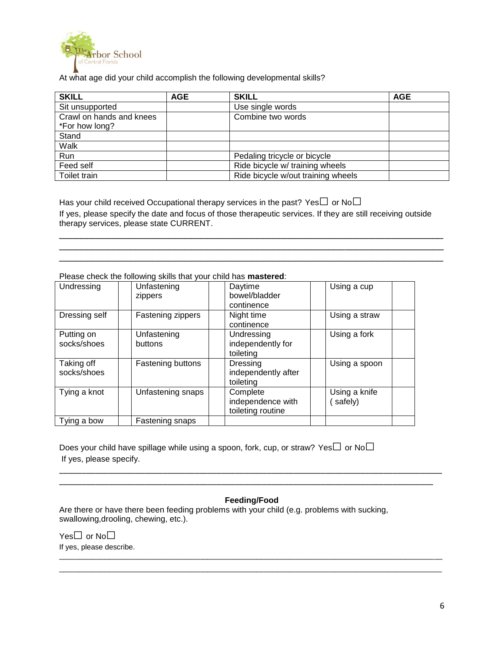

At what age did your child accomplish the following developmental skills?

| <b>SKILL</b>             | <b>AGE</b> | <b>SKILL</b>                       | <b>AGE</b> |
|--------------------------|------------|------------------------------------|------------|
| Sit unsupported          |            | Use single words                   |            |
| Crawl on hands and knees |            | Combine two words                  |            |
| *For how long?           |            |                                    |            |
| Stand                    |            |                                    |            |
| Walk                     |            |                                    |            |
| Run                      |            | Pedaling tricycle or bicycle       |            |
| Feed self                |            | Ride bicycle w/ training wheels    |            |
| Toilet train             |            | Ride bicycle w/out training wheels |            |

Has your child received Occupational therapy services in the past? Yes $\square$  or No $\square$ If yes, please specify the date and focus of those therapeutic services. If they are still receiving outside therapy services, please state CURRENT.

\_\_\_\_\_\_\_\_\_\_\_\_\_\_\_\_\_\_\_\_\_\_\_\_\_\_\_\_\_\_\_\_\_\_\_\_\_\_\_\_\_\_\_\_\_\_\_\_\_\_\_\_\_\_\_\_\_\_\_\_\_\_\_\_\_\_\_\_\_\_ \_\_\_\_\_\_\_\_\_\_\_\_\_\_\_\_\_\_\_\_\_\_\_\_\_\_\_\_\_\_\_\_\_\_\_\_\_\_\_\_\_\_\_\_\_\_\_\_\_\_\_\_\_\_\_\_\_\_\_\_\_\_\_\_\_\_\_\_\_\_ \_\_\_\_\_\_\_\_\_\_\_\_\_\_\_\_\_\_\_\_\_\_\_\_\_\_\_\_\_\_\_\_\_\_\_\_\_\_\_\_\_\_\_\_\_\_\_\_\_\_\_\_\_\_\_\_\_\_\_\_\_\_\_\_\_\_\_\_\_\_

Please check the following skills that your child has **mastered**:

| Undressing                | Unfastening<br>zippers | Daytime<br>bowel/bladder<br>continence             | Using a cup              |
|---------------------------|------------------------|----------------------------------------------------|--------------------------|
| Dressing self             | Fastening zippers      | Night time<br>continence                           | Using a straw            |
| Putting on<br>socks/shoes | Unfastening<br>buttons | Undressing<br>independently for<br>toileting       | Using a fork             |
| Taking off<br>socks/shoes | Fastening buttons      | Dressing<br>independently after<br>toileting       | Using a spoon            |
| Tying a knot              | Unfastening snaps      | Complete<br>independence with<br>toileting routine | Using a knife<br>safely) |
| Tying a bow               | Fastening snaps        |                                                    |                          |

Does your child have spillage while using a spoon, fork, cup, or straw? Yes $\square$  or No $\square$ If yes, please specify.

### **Feeding/Food**

 $\overline{a}$  , and the state of the state of the state of the state of the state of the state of the state of the state of the state of the state of the state of the state of the state of the state of the state of the state o  $\overline{a}$  , and the state of the state of the state of the state of the state of the state of the state of the state of the state of the state of the state of the state of the state of the state of the state of the state o

\_\_\_\_\_\_\_\_\_\_\_\_\_\_\_\_\_\_\_\_\_\_\_\_\_\_\_\_\_\_\_\_\_\_\_\_\_\_\_\_\_\_\_\_\_\_\_\_\_\_\_\_\_\_\_\_\_\_\_\_\_\_\_\_\_\_\_\_\_\_\_\_\_\_\_\_\_\_\_\_\_\_\_\_\_ \_\_\_\_\_\_\_\_\_\_\_\_\_\_\_\_\_\_\_\_\_\_\_\_\_\_\_\_\_\_\_\_\_\_\_\_\_\_\_\_\_\_\_\_\_\_\_\_\_\_\_\_\_\_\_\_\_\_\_\_\_\_\_\_\_\_\_\_\_\_\_\_\_\_\_\_\_\_\_\_\_\_\_

Are there or have there been feeding problems with your child (e.g. problems with sucking, swallowing,drooling, chewing, etc.).

Yes□ or No□ If yes, please describe.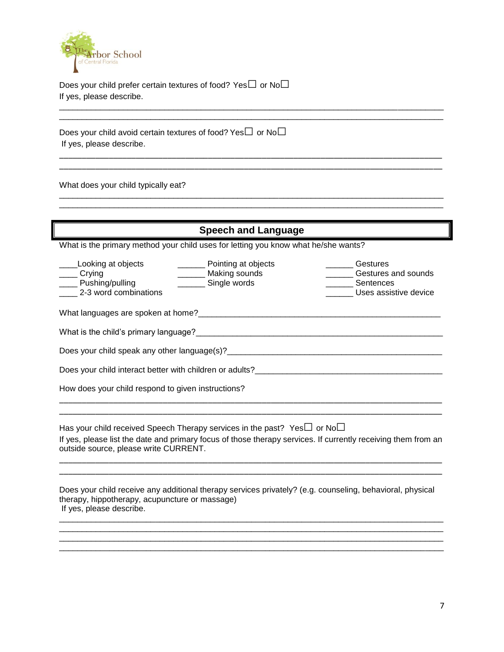

Does your child prefer certain textures of food? Yes $\square$  or No $\square$ If yes, please describe.

Does your child avoid certain textures of food? Yes $\Box$  or No $\Box$ If yes, please describe.

\_\_\_\_\_\_\_\_\_\_\_\_\_\_\_\_\_\_\_\_\_\_\_\_\_\_\_\_\_\_\_\_\_\_\_\_\_\_\_\_\_\_\_\_\_\_\_\_\_\_\_\_\_\_\_\_\_\_\_\_\_\_\_\_\_\_\_\_\_\_\_\_\_\_\_\_\_\_\_\_\_\_\_\_

What does your child typically eat?

| <b>Speech and Language</b>                                                                                                                                                                                                     |                                                                                 |                                                                                                               |  |
|--------------------------------------------------------------------------------------------------------------------------------------------------------------------------------------------------------------------------------|---------------------------------------------------------------------------------|---------------------------------------------------------------------------------------------------------------|--|
| What is the primary method your child uses for letting you know what he/she wants?                                                                                                                                             |                                                                                 |                                                                                                               |  |
| _Looking at objects<br>___ Crying<br>____ Pushing/pulling<br>2-3 word combinations                                                                                                                                             | _________ Pointing at objects<br>_______ Making sounds<br>________ Single words | Gestures<br>_____ Gestures and sounds<br>________ Sentences<br>Uses assistive device                          |  |
| What languages are spoken at home? Manual Community of the control of the control of the control of the control of the control of the control of the control of the control of the control of the control of the control of th |                                                                                 |                                                                                                               |  |
|                                                                                                                                                                                                                                |                                                                                 |                                                                                                               |  |
|                                                                                                                                                                                                                                |                                                                                 |                                                                                                               |  |
|                                                                                                                                                                                                                                |                                                                                 |                                                                                                               |  |
| How does your child respond to given instructions?                                                                                                                                                                             |                                                                                 |                                                                                                               |  |
| Has your child received Speech Therapy services in the past? Yes $\Box$ or No $\Box$<br>outside source, please write CURRENT.                                                                                                  |                                                                                 | If yes, please list the date and primary focus of those therapy services. If currently receiving them from an |  |
| therapy, hippotherapy, acupuncture or massage)<br>If yes, please describe.                                                                                                                                                     |                                                                                 | Does your child receive any additional therapy services privately? (e.g. counseling, behavioral, physical     |  |

\_\_\_\_\_\_\_\_\_\_\_\_\_\_\_\_\_\_\_\_\_\_\_\_\_\_\_\_\_\_\_\_\_\_\_\_\_\_\_\_\_\_\_\_\_\_\_\_\_\_\_\_\_\_\_\_\_\_\_\_\_\_\_\_\_\_\_\_\_\_\_\_\_\_\_\_\_\_\_\_\_\_\_\_ \_\_\_\_\_\_\_\_\_\_\_\_\_\_\_\_\_\_\_\_\_\_\_\_\_\_\_\_\_\_\_\_\_\_\_\_\_\_\_\_\_\_\_\_\_\_\_\_\_\_\_\_\_\_\_\_\_\_\_\_\_\_\_\_\_\_\_\_\_\_\_\_\_\_\_\_\_\_\_\_\_\_\_\_ \_\_\_\_\_\_\_\_\_\_\_\_\_\_\_\_\_\_\_\_\_\_\_\_\_\_\_\_\_\_\_\_\_\_\_\_\_\_\_\_\_\_\_\_\_\_\_\_\_\_\_\_\_\_\_\_\_\_\_\_\_\_\_\_\_\_\_\_\_\_\_\_\_\_\_\_\_\_\_\_\_\_\_\_

\_\_\_\_\_\_\_\_\_\_\_\_\_\_\_\_\_\_\_\_\_\_\_\_\_\_\_\_\_\_\_\_\_\_\_\_\_\_\_\_\_\_\_\_\_\_\_\_\_\_\_\_\_\_\_\_\_\_\_\_\_\_\_\_\_\_\_\_\_\_\_\_\_\_\_\_\_\_\_\_\_\_\_\_

\_\_\_\_\_\_\_\_\_\_\_\_\_\_\_\_\_\_\_\_\_\_\_\_\_\_\_\_\_\_\_\_\_\_\_\_\_\_\_\_\_\_\_\_\_\_\_\_\_\_\_\_\_\_\_\_\_\_\_\_\_\_\_\_\_\_\_\_\_\_\_\_\_\_\_\_\_\_\_\_\_\_\_\_\_ \_\_\_\_\_\_\_\_\_\_\_\_\_\_\_\_\_\_\_\_\_\_\_\_\_\_\_\_\_\_\_\_\_\_\_\_\_\_\_\_\_\_\_\_\_\_\_\_\_\_\_\_\_\_\_\_\_\_\_\_\_\_\_\_\_\_\_\_\_\_\_\_\_\_\_\_\_\_\_\_\_\_\_\_\_

\_\_\_\_\_\_\_\_\_\_\_\_\_\_\_\_\_\_\_\_\_\_\_\_\_\_\_\_\_\_\_\_\_\_\_\_\_\_\_\_\_\_\_\_\_\_\_\_\_\_\_\_\_\_\_\_\_\_\_\_\_\_\_\_\_\_\_\_\_\_\_\_\_\_\_\_\_\_\_\_\_\_\_\_ \_\_\_\_\_\_\_\_\_\_\_\_\_\_\_\_\_\_\_\_\_\_\_\_\_\_\_\_\_\_\_\_\_\_\_\_\_\_\_\_\_\_\_\_\_\_\_\_\_\_\_\_\_\_\_\_\_\_\_\_\_\_\_\_\_\_\_\_\_\_\_\_\_\_\_\_\_\_\_\_\_\_\_\_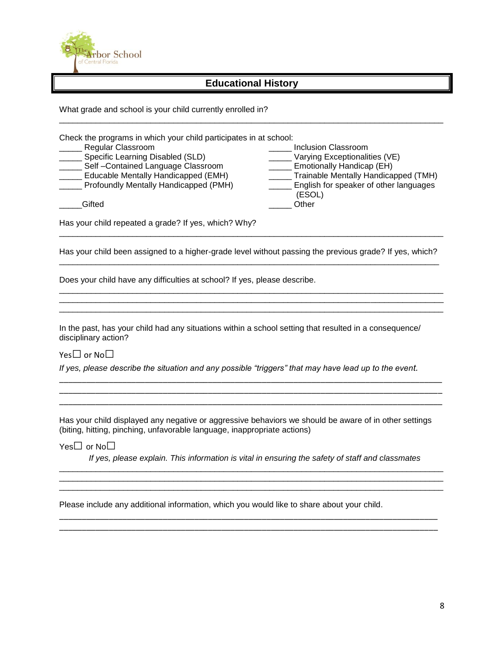

# **Educational History**

\_\_\_\_\_\_\_\_\_\_\_\_\_\_\_\_\_\_\_\_\_\_\_\_\_\_\_\_\_\_\_\_\_\_\_\_\_\_\_\_\_\_\_\_\_\_\_\_\_\_\_\_\_\_\_\_\_\_\_\_\_\_\_\_\_\_\_\_\_\_\_\_\_\_\_\_\_\_\_\_\_\_\_\_

What grade and school is your child currently enrolled in?

| Check the programs in which your child participates in at school: | Inclusion Classroom                    |
|-------------------------------------------------------------------|----------------------------------------|
| Regular Classroom                                                 | Varying Exceptionalities (VE)          |
| Specific Learning Disabled (SLD)                                  | Emotionally Handicap (EH)              |
| Self-Contained Language Classroom                                 | Trainable Mentally Handicapped (TMH)   |
| Educable Mentally Handicapped (EMH)                               | English for speaker of other languages |
| Profoundly Mentally Handicapped (PMH)                             | (ESOL)                                 |
| Gifted                                                            | Other                                  |

Has your child repeated a grade? If yes, which? Why?

Has your child been assigned to a higher-grade level without passing the previous grade? If yes, which? \_\_\_\_\_\_\_\_\_\_\_\_\_\_\_\_\_\_\_\_\_\_\_\_\_\_\_\_\_\_\_\_\_\_\_\_\_\_\_\_\_\_\_\_\_\_\_\_\_\_\_\_\_\_\_\_\_\_\_\_\_\_\_\_\_\_\_\_\_\_\_\_\_\_\_\_\_\_\_\_\_\_\_

\_\_\_\_\_\_\_\_\_\_\_\_\_\_\_\_\_\_\_\_\_\_\_\_\_\_\_\_\_\_\_\_\_\_\_\_\_\_\_\_\_\_\_\_\_\_\_\_\_\_\_\_\_\_\_\_\_\_\_\_\_\_\_\_\_\_\_\_\_\_\_\_\_\_\_\_\_\_\_\_\_\_\_\_ \_\_\_\_\_\_\_\_\_\_\_\_\_\_\_\_\_\_\_\_\_\_\_\_\_\_\_\_\_\_\_\_\_\_\_\_\_\_\_\_\_\_\_\_\_\_\_\_\_\_\_\_\_\_\_\_\_\_\_\_\_\_\_\_\_\_\_\_\_\_\_\_\_\_\_\_\_\_\_\_\_\_\_\_ \_\_\_\_\_\_\_\_\_\_\_\_\_\_\_\_\_\_\_\_\_\_\_\_\_\_\_\_\_\_\_\_\_\_\_\_\_\_\_\_\_\_\_\_\_\_\_\_\_\_\_\_\_\_\_\_\_\_\_\_\_\_\_\_\_\_\_\_\_\_\_\_\_\_\_\_\_\_\_\_\_\_\_\_

\_\_\_\_\_\_\_\_\_\_\_\_\_\_\_\_\_\_\_\_\_\_\_\_\_\_\_\_\_\_\_\_\_\_\_\_\_\_\_\_\_\_\_\_\_\_\_\_\_\_\_\_\_\_\_\_\_\_\_\_\_\_\_\_\_\_\_\_\_\_\_\_\_\_\_\_\_\_\_\_\_\_\_\_

Does your child have any difficulties at school? If yes, please describe.

In the past, has your child had any situations within a school setting that resulted in a consequence/ disciplinary action?

Yes□ or No□

*If yes, please describe the situation and any possible "triggers" that may have lead up to the event.*

Has your child displayed any negative or aggressive behaviors we should be aware of in other settings (biting, hitting, pinching, unfavorable language, inappropriate actions)

\_\_\_\_\_\_\_\_\_\_\_\_\_\_\_\_\_\_\_\_\_\_\_\_\_\_\_\_\_\_\_\_\_\_\_\_\_\_\_\_\_\_\_\_\_\_\_\_\_\_\_\_\_\_\_\_\_\_\_\_\_\_\_\_\_\_\_\_\_\_\_\_\_\_\_\_\_\_\_\_\_\_\_\_\_ \_\_\_\_\_\_\_\_\_\_\_\_\_\_\_\_\_\_\_\_\_\_\_\_\_\_\_\_\_\_\_\_\_\_\_\_\_\_\_\_\_\_\_\_\_\_\_\_\_\_\_\_\_\_\_\_\_\_\_\_\_\_\_\_\_\_\_\_\_\_\_\_\_\_\_\_\_\_\_\_\_\_\_\_\_ \_\_\_\_\_\_\_\_\_\_\_\_\_\_\_\_\_\_\_\_\_\_\_\_\_\_\_\_\_\_\_\_\_\_\_\_\_\_\_\_\_\_\_\_\_\_\_\_\_\_\_\_\_\_\_\_\_\_\_\_\_\_\_\_\_\_\_\_\_\_\_\_\_\_\_\_\_\_\_\_\_\_\_\_\_

Yes□ or No□

*If yes, please explain. This information is vital in ensuring the safety of staff and classmates*

\_\_\_\_\_\_\_\_\_\_\_\_\_\_\_\_\_\_\_\_\_\_\_\_\_\_\_\_\_\_\_\_\_\_\_\_\_\_\_\_\_\_\_\_\_\_\_\_\_\_\_\_\_\_\_\_\_\_\_\_\_\_\_\_\_\_\_\_\_\_\_\_\_\_\_\_\_\_\_\_\_\_\_\_ \_\_\_\_\_\_\_\_\_\_\_\_\_\_\_\_\_\_\_\_\_\_\_\_\_\_\_\_\_\_\_\_\_\_\_\_\_\_\_\_\_\_\_\_\_\_\_\_\_\_\_\_\_\_\_\_\_\_\_\_\_\_\_\_\_\_\_\_\_\_\_\_\_\_\_\_\_\_\_\_\_\_\_\_ \_\_\_\_\_\_\_\_\_\_\_\_\_\_\_\_\_\_\_\_\_\_\_\_\_\_\_\_\_\_\_\_\_\_\_\_\_\_\_\_\_\_\_\_\_\_\_\_\_\_\_\_\_\_\_\_\_\_\_\_\_\_\_\_\_\_\_\_\_\_\_\_\_\_\_\_\_\_\_\_\_\_\_\_

\_\_\_\_\_\_\_\_\_\_\_\_\_\_\_\_\_\_\_\_\_\_\_\_\_\_\_\_\_\_\_\_\_\_\_\_\_\_\_\_\_\_\_\_\_\_\_\_\_\_\_\_\_\_\_\_\_\_\_\_\_\_\_\_\_\_\_\_\_\_\_\_\_\_\_\_\_\_\_\_\_\_\_\_ \_\_\_\_\_\_\_\_\_\_\_\_\_\_\_\_\_\_\_\_\_\_\_\_\_\_\_\_\_\_\_\_\_\_\_\_\_\_\_\_\_\_\_\_\_\_\_\_\_\_\_\_\_\_\_\_\_\_\_\_\_\_\_\_\_\_\_\_\_\_\_\_\_\_\_\_\_\_\_\_\_\_\_\_

Please include any additional information, which you would like to share about your child.